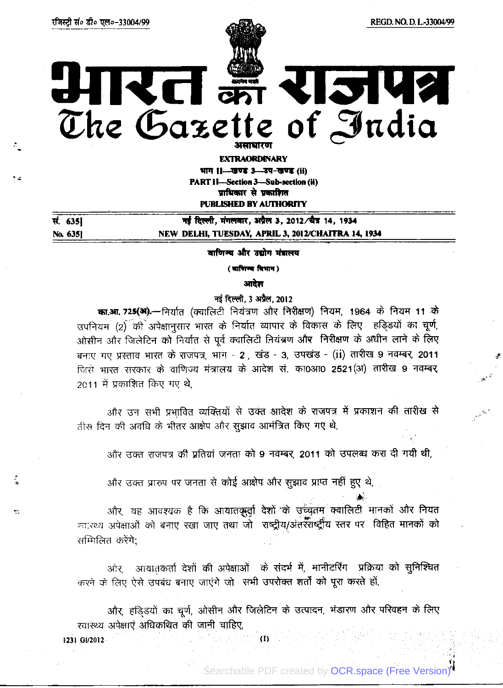٠.

RISKA

HIRCI का RIME

**EXTRAORDINARY** भाग ।।- खण्ड 3-उप-खण्ड (ii) PART II—Section 3—Sub-section (ii)

प्राधिकार से प्रकाशित PUBLISHED BY AUTHORITY

| सं. 635। | नई दिल्ली, मंगलवार, अप्रैल 3, 2012/चैत्र 14, 1934  |
|----------|----------------------------------------------------|
| No. 6351 | NEW DELHI, TUESDAY, APRIL 3, 2012/CHAITRA 14, 1934 |

वाणिज्य और उद्योग मंत्रालय

( वाणिज्य विभाग)

आदेश

# नई दिल्ली. 3 अप्रैल. 2012

का.आ. 725(अ).- निर्यात (क्वालिटी नियंत्रण और निरीक्षण) नियम, 1964 के नियम 11 के उपनियम (2) की अपेक्षानुसार भारत के निर्यात व्यापार के विकास के लिए हड़िडयों का चूर्ण, ओसीन और जिलेटिन को निर्यात से पूर्व क्वालिटी नियंत्रण और निरीक्षण के अधीन लाने के लिए बनाए गए प्रस्ताव भारत के राजपत्र, भाग - 2 , खंड - 3, उपखंड - (ii) तारीख 9 नवम्बर, 2011 जिसे भारत सरकार के वाणिज्य मंत्रालय के आदेश से. का0आ0 2521(अ) तारीख 9 नवम्बर, 2011 में प्रकाशित किए गए थे,

और उन सभी प्रभावित व्यक्तियों से उक्त आदेश के राजपत्र में प्रकाशन की तारीख से तीस दिन की अवधि के भीतर आक्षेप और सूझाव आमंत्रित किए गए थे,

और उक्त राजपत्र की प्रतियां जनता को 9 नवम्बर, 2011 को उपलब्ध करा दी गयी थी,

और उक्त प्रारुप पर जनता से कोई आक्षेप और सुझाव प्राप्त नहीं हुए थे,

और, यह आवश्यक है कि आयातकुर्वा देशों के उच्चुतम क्वालिटी मानकों और नियत ग्वास्थ्य अपेक्षाओं को बनाए रखा जाए तथा जो राष्ट्रीय/अंतरॅराष्ट्रीय स्तर पर विहित मानकों को सम्मिलित करेंगे:

ओर, आयातकर्ता देशों की अपेक्षाओं के संदर्भ में, मानीटरिंग प्रक्रिया को सुनिश्चित करने के लिए ऐसे उपबंध बनाए जाएंगे जो सभी उपरोक्त शर्तों को पूरा करते हों,

और, हड़िड़यों का चूर्ण, ओसीन और जिलेटिन के उत्पादन, भंडारण और परिवहन के लिए स्वास्थ्य अपेक्षाएं अधिकथित की जानी चाहिए,

 $\dot{\mathbf{u}}$ 

1231 GI/2012

Searchable PDF created by [OCR.space \(Free Version\)](https://ocr.space/searchablepdf#watermark)<sup>4</sup>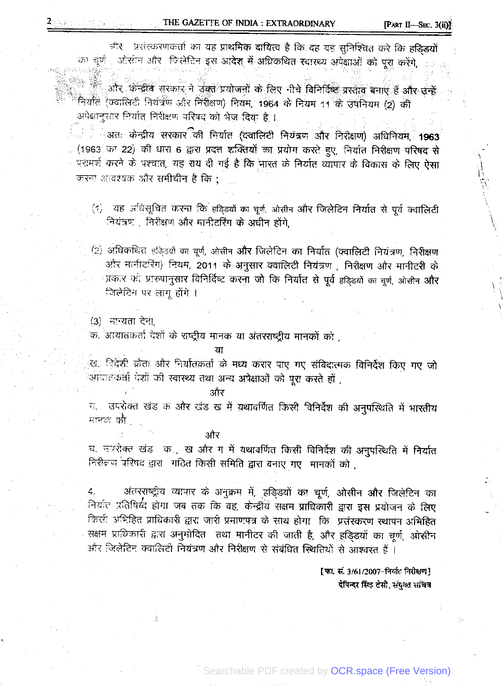<sup>अंत्</sup> प्रसंस्करणकर्ता का यह प्राथमिक दायित्व है कि वह यह सुनिश्चित करे कि ह**डिडयों** का द्युर्ण , ओसीन और जिलेटिन इस आदेश में अधिकथित स्वास्थ्य अपेक्षाओं को पूरा करेंगे,

.<br>और केन्द्रीय सरकार ने उक्त प्रयोजनों के लिए नीचे विनिर्दिष्ट प्रस्ताव बनाए हैं और उन्हें नियात (क्वालिटी नियंत्रण और निरीक्षण) नियम, 1964 के नियम 11 के उपनियम (2) की अपेक्षानुसार निर्यात निरीक्षण परिषद को भेज दिया है ।

ं अतः केन्द्रीय सरकार<sup>ि</sup>की निर्यात (दवालिटी नियंत्रण औ<del>र</del> निरोक्षण) अधिनियम, 1963 (1963 का 22) की धारा 6 द्वारा प्रदत्त शक्तियों का प्रयोग करते हुए, निर्यात निरीक्षण परिषद से परामर्श करने के पश्चात, यह राय दी गई है कि भारत के निर्यात व्यापार के विकास के लिए ऐसा करना आवश्यक और समीचीन है कि :

(1) यह अधिसूचित करना कि हड़िड़यों का चूर्ण, ओसीन और जिलेटिन निर्यात से पूर्व क्वालिटी नियंत्रण, निरीक्षण और मानीटरिंग के अधीन होंगे.

(2) अधिकथित हड़िड़यों का चूर्ण, ओसीन और जिलेटिन का निर्यात (क्वालिटी नियंत्रण, निरीक्षण ओर मानीटरिंग) नियम, 2011 के अनुसार क्वालिटी नियंत्रण , निरीक्षण और मानीटरी के प्रकार को प्रारुपानुसार विनिर्दिष्ट करना जो कि निर्यात से पूर्व हड़िड़यों का चूर्ण, ओसीन और जिलेटिन पर लांगू होंगे ।

.(3) - मन्यता देना.

 $2$ says en el espec

क. आयातकर्ता देशों के राष्ट्रीय मानक या अंतरराष्ट्रीय मानकों को ,

ਧਾ

्ख, बिदेशी क्रेता और नियंतिकर्ता के मध्य करार पाए गए संविदात्मक विनिर्देश किए गए जो आवातकर्ता देशों की स्वास्थ्य तथा अन्य अपेक्षाओं को पूरा करते हों ,

ऑर

ग. उपरोक्त खंड क और खंड ख में यथावर्णित किसी विनिर्देश की अनुपस्थिति में भारतीय मानक की।

और

घ. उपरोक्त खंड के, खे और गे में यथावर्णित किसी विनिर्देश की अनुपस्थिति में निर्यात निरीक्षण परिषद द्वारा गठित किसी समिति द्वारा बनाए गए मानकों को ,

अंतरराष्ट्रीय व्यापार के अनुक्रम में, हड़िडयों का चूर्ण, ओसीन और जिलेटिन का 4. नियत्ति प्रतिधिर्ध्द होगा जब तक कि वह, केन्द्रीय सक्षम प्राधिकारी द्वारा इस प्रयोजन के लिए किसी अभिहित प्राधिकारी द्वारा जारी प्रमाणपत्र के साथ होगा। कि प्रसंस्करण स्थापन अभिहित सक्षम प्राधिकारी द्वारा अनुमोदित तथा मानीटर की जाती है, और हड़िडयों का चूर्ण, ओसीन और जिलेटिन क्वालिटी नियंत्रण और निरीक्षण से संबंधित स्थितियों से आश्वरत हैं।

> [फा. सं. 3/61/2007-निर्यात निरीक्षण] देपिन्दर सिंह टेसी, संयुक्त सांचेन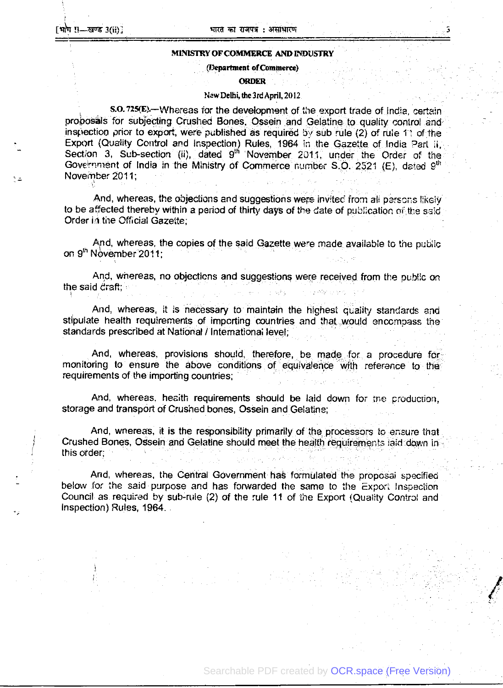### MINISTRY OF COMMERCE AND INDUSTRY

(Department ofCommerce)

#### **ORDER**

# New Delhi, the3rdApril, 2012

s.O. 725(E) - Whereas for the development of the export trade of india, certain probosals for subjecting Crushed Bones. Ossein and Gelatine to quality control and inspection prior to export, were published as required by sub rule (2) of rule 11 of the Export (Quality Control and Inspection) Rules, 1964 in the Gazette of India Part ii, Section 3, Sub-section (ii), dated 9<sup>th</sup> November 2011, under the Order of the Government of India in the Ministry of Commerce number S.O. 2521 (E), dated  $9<sup>th</sup>$ November 2011;

And, whereas, the objections and suggestions were invited from all persons likely to be affected thereby within a period of thirty days of the date of publication of the said Order in the Official Gazette;

And, whereas, the copies of the said Gazette were made availabte to the pubüc on 9<sup>th</sup> November 2011;

And, whereas, no objections and suggestions were received from the pub!ic on the said draft;

And, whereas, it is necessary to maintain the highest quaiity standards and stipulate health requirements of importing countries and that would encompass the standards prescribed at National / Internationa; level,

And, whereas, provisions should, therefore, be made for a procedure for monitoring to ensure the above conditions of equivalence with reference to the requirements of the importing countries;

And, whereas. heaith requirements should be laid down for tne production, storage and transport of Crushed bones, Ossein and Gelatine,

And, wnereas, it is the responsibility primarily of the processors to ensure that Crushed Bones, Ossein and Gelatine should meet the health requirements laid down in this order;

And, whereas, the Central Government has formulated the proposai specified below for the said purpose and has forwarded the same to the Export Inspection Council as required by sub-rule (2) of the rule 11 of the Export (Quaiity Contro' and Inspection) Rules, 1964.